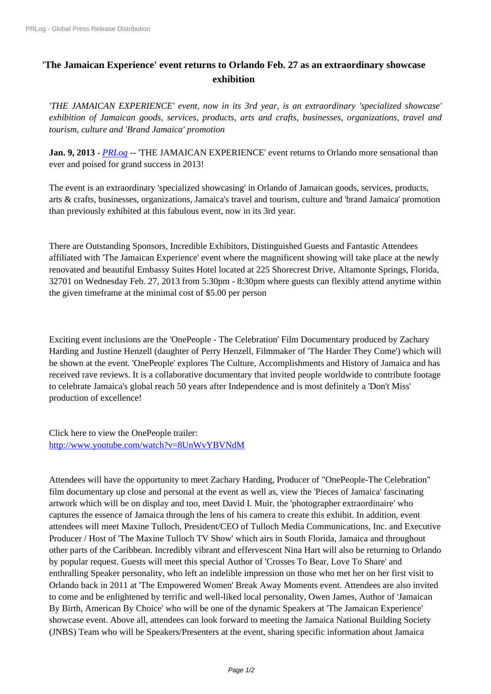## **'[The Jamaican Experience](https://www.prlog.org/)' event returns to Orlando Feb. 27 as an extraordinary showcase exhibition**

*'THE JAMAICAN EXPERIENCE' event, now in its 3rd year, is an extraordinary 'specialized showcase' exhibition of Jamaican goods, services, products, arts and crafts, businesses, organizations, travel and tourism, culture and 'Brand Jamaica' promotion*

**Jan. 9, 2013** - *PRLog* -- 'THE JAMAICAN EXPERIENCE' event returns to Orlando more sensational than ever and poised for grand success in 2013!

The event is a[n extrao](https://www.prlog.org)rdinary 'specialized showcasing' in Orlando of Jamaican goods, services, products, arts & crafts, businesses, organizations, Jamaica's travel and tourism, culture and 'brand Jamaica' promotion than previously exhibited at this fabulous event, now in its 3rd year.

There are Outstanding Sponsors, Incredible Exhibitors, Distinguished Guests and Fantastic Attendees affiliated with 'The Jamaican Experience' event where the magnificent showing will take place at the newly renovated and beautiful Embassy Suites Hotel located at 225 Shorecrest Drive, Altamonte Springs, Florida, 32701 on Wednesday Feb. 27, 2013 from 5:30pm - 8:30pm where guests can flexibly attend anytime within the given timeframe at the minimal cost of \$5.00 per person

Exciting event inclusions are the 'OnePeople - The Celebration' Film Documentary produced by Zachary Harding and Justine Henzell (daughter of Perry Henzell, Filmmaker of 'The Harder They Come') which will be shown at the event. 'OnePeople' explores The Culture, Accomplishments and History of Jamaica and has received rave reviews. It is a collaborative documentary that invited people worldwide to contribute footage to celebrate Jamaica's global reach 50 years after Independence and is most definitely a 'Don't Miss' production of excellence!

Click here to view the OnePeople trailer: http://www.youtube.com/watch?v=8UnWvYBVNdM

Attendees will have the opportunity to meet Zachary Harding, Producer of "OnePeople-The Celebration" [film documentary up close and personal at the event as](http://www.youtube.com/watch?v=8UnWvYBVNdM) well as, view the 'Pieces of Jamaica' fascinating artwork which will be on display and too, meet David I. Muir, the 'photographer extraordinaire' who captures the essence of Jamaica through the lens of his camera to create this exhibit. In addition, event attendees will meet Maxine Tulloch, President/CEO of Tulloch Media Communications, Inc. and Executive Producer / Host of 'The Maxine Tulloch TV Show' which airs in South Florida, Jamaica and throughout other parts of the Caribbean. Incredibly vibrant and effervescent Nina Hart will also be returning to Orlando by popular request. Guests will meet this special Author of 'Crosses To Bear, Love To Share' and enthralling Speaker personality, who left an indelible impression on those who met her on her first visit to Orlando back in 2011 at 'The Empowered Women' Break Away Moments event. Attendees are also invited to come and be enlightened by terrific and well-liked local personality, Owen James, Author of 'Jamaican By Birth, American By Choice' who will be one of the dynamic Speakers at 'The Jamaican Experience' showcase event. Above all, attendees can look forward to meeting the Jamaica National Building Society (JNBS) Team who will be Speakers/Presenters at the event, sharing specific information about Jamaica